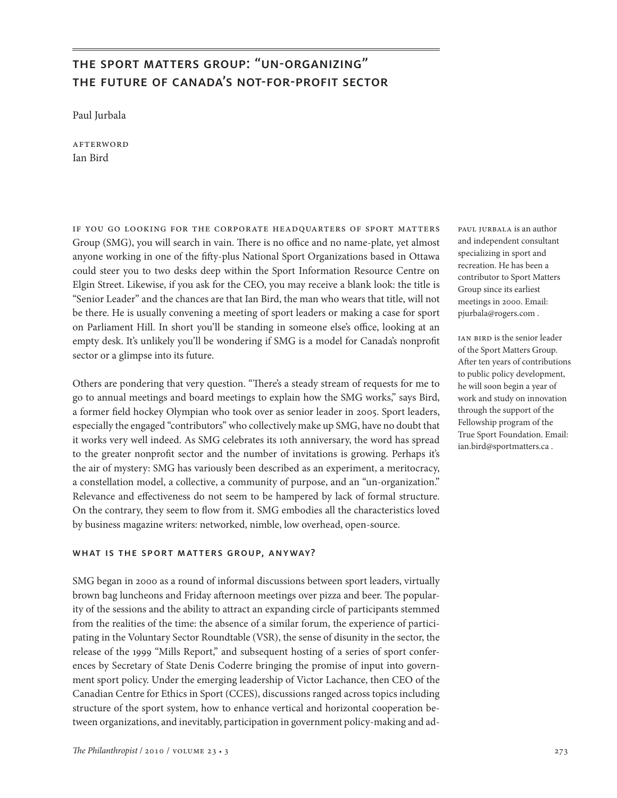# the sport matters group: "un-organizing" the future of canada's not-for-profit sector

Paul Jurbala

**AFTERWORD** Ian Bird

if you go looking for the corporate headquarters of sport matters Group (SMG), you will search in vain. There is no office and no name-plate, yet almost anyone working in one of the fifty-plus National Sport Organizations based in Ottawa could steer you to two desks deep within the Sport Information Resource Centre on Elgin Street. Likewise, if you ask for the CEO, you may receive a blank look: the title is "Senior Leader" and the chances are that Ian Bird, the man who wears that title, will not be there. He is usually convening a meeting of sport leaders or making a case for sport on Parliament Hill. In short you'll be standing in someone else's office, looking at an empty desk. It's unlikely you'll be wondering if SMG is a model for Canada's nonprofit sector or a glimpse into its future.

Others are pondering that very question. "There's a steady stream of requests for me to go to annual meetings and board meetings to explain how the SMG works," says Bird, a former field hockey Olympian who took over as senior leader in 2005. Sport leaders, especially the engaged "contributors" who collectively make up SMG, have no doubt that it works very well indeed. As SMG celebrates its 10th anniversary, the word has spread to the greater nonprofit sector and the number of invitations is growing. Perhaps it's the air of mystery: SMG has variously been described as an experiment, a meritocracy, a constellation model, a collective, a community of purpose, and an "un-organization." Relevance and effectiveness do not seem to be hampered by lack of formal structure. On the contrary, they seem to flow from it. SMG embodies all the characteristics loved by business magazine writers: networked, nimble, low overhead, open-source.

#### what is the sport matters group, anyway?

SMG began in 2000 as a round of informal discussions between sport leaders, virtually brown bag luncheons and Friday afternoon meetings over pizza and beer. The popularity of the sessions and the ability to attract an expanding circle of participants stemmed from the realities of the time: the absence of a similar forum, the experience of participating in the Voluntary Sector Roundtable (VSR), the sense of disunity in the sector, the release of the 1999 "Mills Report," and subsequent hosting of a series of sport conferences by Secretary of State Denis Coderre bringing the promise of input into government sport policy. Under the emerging leadership of Victor Lachance, then CEO of the Canadian Centre for Ethics in Sport (CCES), discussions ranged across topics including structure of the sport system, how to enhance vertical and horizontal cooperation between organizations, and inevitably, participation in government policy-making and adpaul jurbala is an author and independent consultant specializing in sport and recreation. He has been a contributor to Sport Matters Group since its earliest meetings in 2000. Email: pjurbala@rogers.com .

IAN BIRD is the senior leader of the Sport Matters Group. After ten years of contributions to public policy development, he will soon begin a year of work and study on innovation through the support of the Fellowship program of the True Sport Foundation. Email: ian.bird@sportmatters.ca .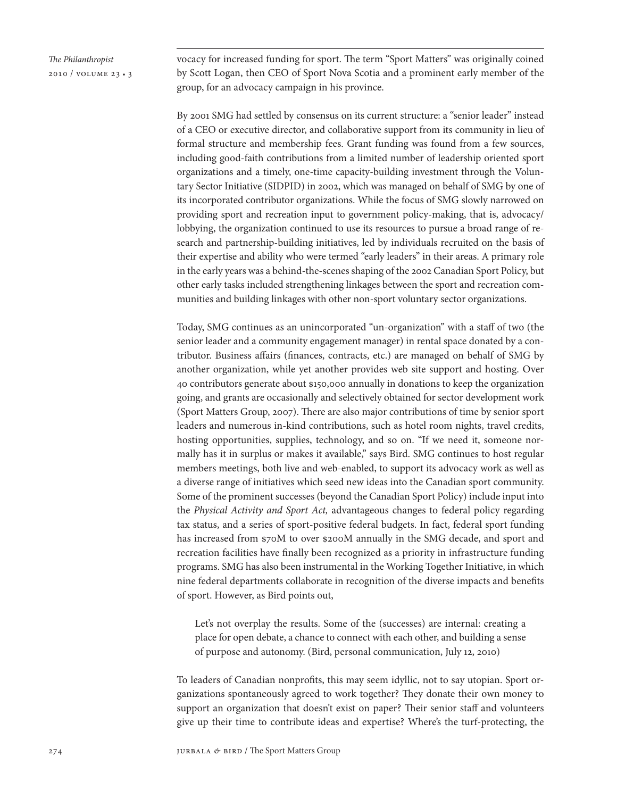*The Philanthropist* 2010 / volume 23 • 3 vocacy for increased funding for sport. The term "Sport Matters" was originally coined by Scott Logan, then CEO of Sport Nova Scotia and a prominent early member of the group, for an advocacy campaign in his province.

By 2001 SMG had settled by consensus on its current structure: a "senior leader" instead of a CEO or executive director, and collaborative support from its community in lieu of formal structure and membership fees. Grant funding was found from a few sources, including good-faith contributions from a limited number of leadership oriented sport organizations and a timely, one-time capacity-building investment through the Voluntary Sector Initiative (SIDPID) in 2002, which was managed on behalf of SMG by one of its incorporated contributor organizations. While the focus of SMG slowly narrowed on providing sport and recreation input to government policy-making, that is, advocacy/ lobbying, the organization continued to use its resources to pursue a broad range of research and partnership-building initiatives, led by individuals recruited on the basis of their expertise and ability who were termed "early leaders" in their areas. A primary role in the early years was a behind-the-scenes shaping of the 2002 Canadian Sport Policy, but other early tasks included strengthening linkages between the sport and recreation communities and building linkages with other non-sport voluntary sector organizations.

Today, SMG continues as an unincorporated "un-organization" with a staff of two (the senior leader and a community engagement manager) in rental space donated by a contributor. Business affairs (finances, contracts, etc.) are managed on behalf of SMG by another organization, while yet another provides web site support and hosting. Over 40 contributors generate about \$150,000 annually in donations to keep the organization going, and grants are occasionally and selectively obtained for sector development work (Sport Matters Group, 2007). There are also major contributions of time by senior sport leaders and numerous in-kind contributions, such as hotel room nights, travel credits, hosting opportunities, supplies, technology, and so on. "If we need it, someone normally has it in surplus or makes it available," says Bird. SMG continues to host regular members meetings, both live and web-enabled, to support its advocacy work as well as a diverse range of initiatives which seed new ideas into the Canadian sport community. Some of the prominent successes (beyond the Canadian Sport Policy) include input into the *Physical Activity and Sport Act,* advantageous changes to federal policy regarding tax status, and a series of sport-positive federal budgets. In fact, federal sport funding has increased from \$70M to over \$200M annually in the SMG decade, and sport and recreation facilities have finally been recognized as a priority in infrastructure funding programs. SMG has also been instrumental in the Working Together Initiative, in which nine federal departments collaborate in recognition of the diverse impacts and benefits of sport. However, as Bird points out,

Let's not overplay the results. Some of the (successes) are internal: creating a place for open debate, a chance to connect with each other, and building a sense of purpose and autonomy. (Bird, personal communication, July 12, 2010)

To leaders of Canadian nonprofits, this may seem idyllic, not to say utopian. Sport organizations spontaneously agreed to work together? They donate their own money to support an organization that doesn't exist on paper? Their senior staff and volunteers give up their time to contribute ideas and expertise? Where's the turf-protecting, the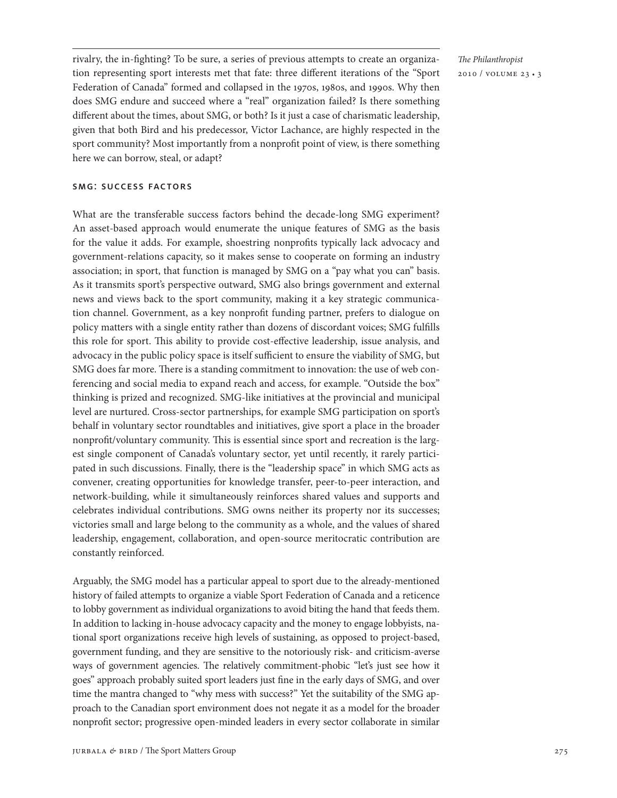rivalry, the in-fighting? To be sure, a series of previous attempts to create an organization representing sport interests met that fate: three different iterations of the "Sport Federation of Canada" formed and collapsed in the 1970s, 1980s, and 1990s. Why then does SMG endure and succeed where a "real" organization failed? Is there something different about the times, about SMG, or both? Is it just a case of charismatic leadership, given that both Bird and his predecessor, Victor Lachance, are highly respected in the sport community? Most importantly from a nonprofit point of view, is there something here we can borrow, steal, or adapt?

### smg: success factors

What are the transferable success factors behind the decade-long SMG experiment? An asset-based approach would enumerate the unique features of SMG as the basis for the value it adds. For example, shoestring nonprofits typically lack advocacy and government-relations capacity, so it makes sense to cooperate on forming an industry association; in sport, that function is managed by SMG on a "pay what you can" basis. As it transmits sport's perspective outward, SMG also brings government and external news and views back to the sport community, making it a key strategic communication channel. Government, as a key nonprofit funding partner, prefers to dialogue on policy matters with a single entity rather than dozens of discordant voices; SMG fulfills this role for sport. This ability to provide cost-effective leadership, issue analysis, and advocacy in the public policy space is itself sufficient to ensure the viability of SMG, but SMG does far more. There is a standing commitment to innovation: the use of web conferencing and social media to expand reach and access, for example. "Outside the box" thinking is prized and recognized. SMG-like initiatives at the provincial and municipal level are nurtured. Cross-sector partnerships, for example SMG participation on sport's behalf in voluntary sector roundtables and initiatives, give sport a place in the broader nonprofit/voluntary community. This is essential since sport and recreation is the largest single component of Canada's voluntary sector, yet until recently, it rarely participated in such discussions. Finally, there is the "leadership space" in which SMG acts as convener, creating opportunities for knowledge transfer, peer-to-peer interaction, and network-building, while it simultaneously reinforces shared values and supports and celebrates individual contributions. SMG owns neither its property nor its successes; victories small and large belong to the community as a whole, and the values of shared leadership, engagement, collaboration, and open-source meritocratic contribution are constantly reinforced.

Arguably, the SMG model has a particular appeal to sport due to the already-mentioned history of failed attempts to organize a viable Sport Federation of Canada and a reticence to lobby government as individual organizations to avoid biting the hand that feeds them. In addition to lacking in-house advocacy capacity and the money to engage lobbyists, national sport organizations receive high levels of sustaining, as opposed to project-based, government funding, and they are sensitive to the notoriously risk- and criticism-averse ways of government agencies. The relatively commitment-phobic "let's just see how it goes" approach probably suited sport leaders just fine in the early days of SMG, and over time the mantra changed to "why mess with success?" Yet the suitability of the SMG approach to the Canadian sport environment does not negate it as a model for the broader nonprofit sector; progressive open-minded leaders in every sector collaborate in similar

*The Philanthropist* 2010 / volume 23 • 3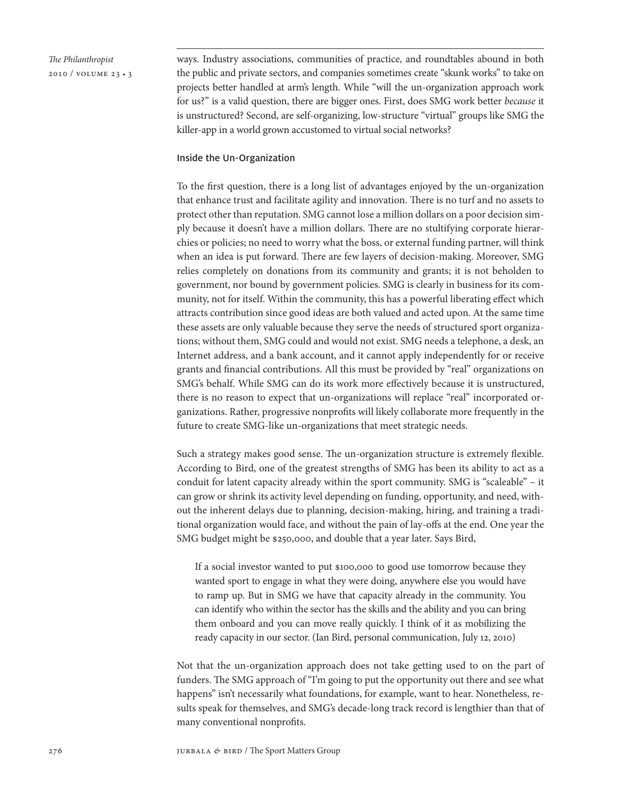## *The Philanthropist* 2010 / volume 23 • 3

ways. Industry associations, communities of practice, and roundtables abound in both the public and private sectors, and companies sometimes create "skunk works" to take on projects better handled at arm's length. While "will the un-organization approach work for us?" is a valid question, there are bigger ones. First, does SMG work better *because* it is unstructured? Second, are self-organizing, low-structure "virtual" groups like SMG the killer-app in a world grown accustomed to virtual social networks?

#### Inside the Un-Organization

To the first question, there is a long list of advantages enjoyed by the un-organization that enhance trust and facilitate agility and innovation. There is no turf and no assets to protect other than reputation. SMG cannot lose a million dollars on a poor decision simply because it doesn't have a million dollars. There are no stultifying corporate hierarchies or policies; no need to worry what the boss, or external funding partner, will think when an idea is put forward. There are few layers of decision-making. Moreover, SMG relies completely on donations from its community and grants; it is not beholden to government, nor bound by government policies. SMG is clearly in business for its community, not for itself. Within the community, this has a powerful liberating effect which attracts contribution since good ideas are both valued and acted upon. At the same time these assets are only valuable because they serve the needs of structured sport organizations; without them, SMG could and would not exist. SMG needs a telephone, a desk, an Internet address, and a bank account, and it cannot apply independently for or receive grants and financial contributions. All this must be provided by "real" organizations on SMG's behalf. While SMG can do its work more effectively because it is unstructured, there is no reason to expect that un-organizations will replace "real" incorporated organizations. Rather, progressive nonprofits will likely collaborate more frequently in the future to create SMG-like un-organizations that meet strategic needs.

Such a strategy makes good sense. The un-organization structure is extremely flexible. According to Bird, one of the greatest strengths of SMG has been its ability to act as a conduit for latent capacity already within the sport community. SMG is "scaleable" – it can grow or shrink its activity level depending on funding, opportunity, and need, without the inherent delays due to planning, decision-making, hiring, and training a traditional organization would face, and without the pain of lay-offs at the end. One year the SMG budget might be \$250,000, and double that a year later. Says Bird,

If a social investor wanted to put \$100,000 to good use tomorrow because they wanted sport to engage in what they were doing, anywhere else you would have to ramp up. But in SMG we have that capacity already in the community. You can identify who within the sector has the skills and the ability and you can bring them onboard and you can move really quickly. I think of it as mobilizing the ready capacity in our sector. (Ian Bird, personal communication, July 12, 2010)

Not that the un-organization approach does not take getting used to on the part of funders. The SMG approach of "I'm going to put the opportunity out there and see what happens" isn't necessarily what foundations, for example, want to hear. Nonetheless, results speak for themselves, and SMG's decade-long track record is lengthier than that of many conventional nonprofits.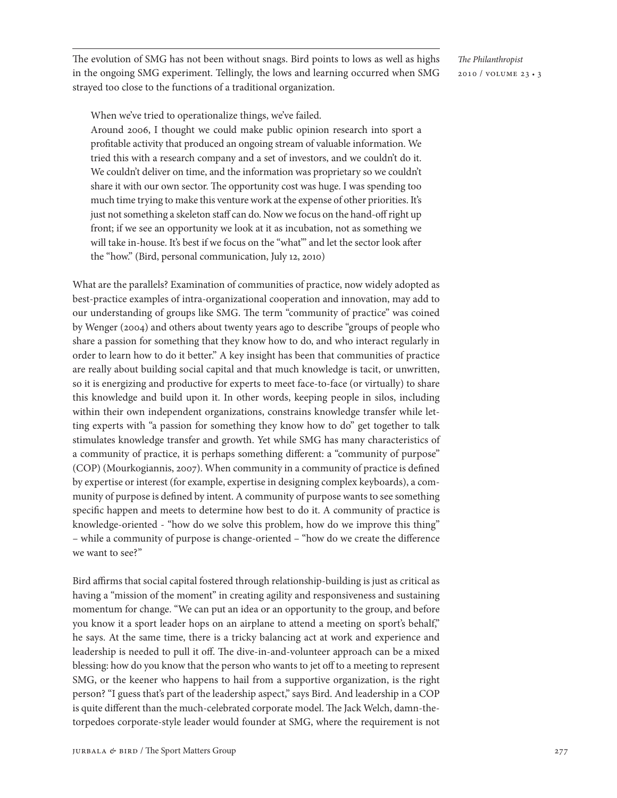The evolution of SMG has not been without snags. Bird points to lows as well as highs in the ongoing SMG experiment. Tellingly, the lows and learning occurred when SMG strayed too close to the functions of a traditional organization.

*The Philanthropist* 2010 / volume 23 • 3

When we've tried to operationalize things, we've failed.

Around 2006, I thought we could make public opinion research into sport a profitable activity that produced an ongoing stream of valuable information. We tried this with a research company and a set of investors, and we couldn't do it. We couldn't deliver on time, and the information was proprietary so we couldn't share it with our own sector. The opportunity cost was huge. I was spending too much time trying to make this venture work at the expense of other priorities. It's just not something a skeleton staff can do. Now we focus on the hand-off right up front; if we see an opportunity we look at it as incubation, not as something we will take in-house. It's best if we focus on the "what'" and let the sector look after the "how." (Bird, personal communication, July 12, 2010)

What are the parallels? Examination of communities of practice, now widely adopted as best-practice examples of intra-organizational cooperation and innovation, may add to our understanding of groups like SMG. The term "community of practice" was coined by Wenger (2004) and others about twenty years ago to describe "groups of people who share a passion for something that they know how to do, and who interact regularly in order to learn how to do it better." A key insight has been that communities of practice are really about building social capital and that much knowledge is tacit, or unwritten, so it is energizing and productive for experts to meet face-to-face (or virtually) to share this knowledge and build upon it. In other words, keeping people in silos, including within their own independent organizations, constrains knowledge transfer while letting experts with "a passion for something they know how to do" get together to talk stimulates knowledge transfer and growth. Yet while SMG has many characteristics of a community of practice, it is perhaps something different: a "community of purpose" (COP) (Mourkogiannis, 2007). When community in a community of practice is defined by expertise or interest (for example, expertise in designing complex keyboards), a community of purpose is defined by intent. A community of purpose wants to see something specific happen and meets to determine how best to do it. A community of practice is knowledge-oriented - "how do we solve this problem, how do we improve this thing" – while a community of purpose is change-oriented – "how do we create the difference we want to see?"

Bird affirms that social capital fostered through relationship-building is just as critical as having a "mission of the moment" in creating agility and responsiveness and sustaining momentum for change. "We can put an idea or an opportunity to the group, and before you know it a sport leader hops on an airplane to attend a meeting on sport's behalf," he says. At the same time, there is a tricky balancing act at work and experience and leadership is needed to pull it off. The dive-in-and-volunteer approach can be a mixed blessing: how do you know that the person who wants to jet off to a meeting to represent SMG, or the keener who happens to hail from a supportive organization, is the right person? "I guess that's part of the leadership aspect," says Bird. And leadership in a COP is quite different than the much-celebrated corporate model. The Jack Welch, damn-thetorpedoes corporate-style leader would founder at SMG, where the requirement is not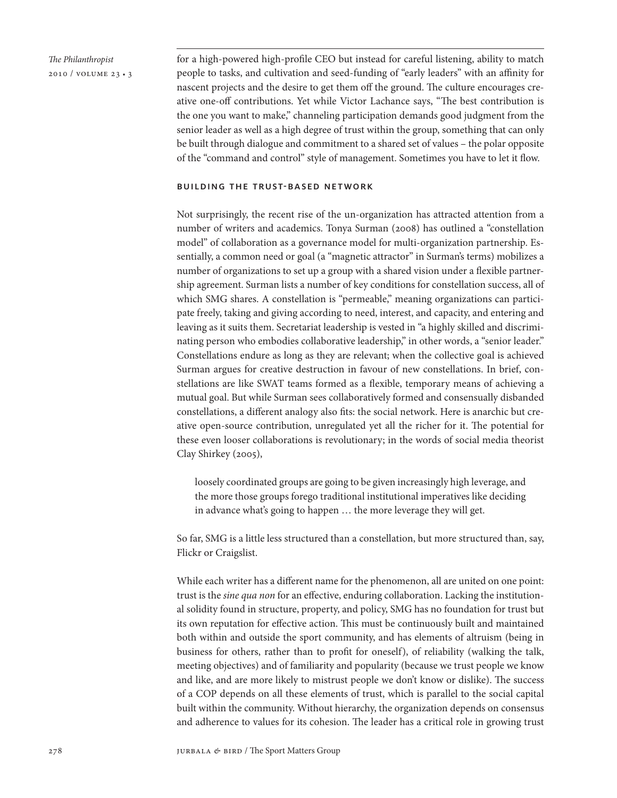*The Philanthropist* 2010 / volume 23 • 3 for a high-powered high-profile CEO but instead for careful listening, ability to match people to tasks, and cultivation and seed-funding of "early leaders" with an affinity for nascent projects and the desire to get them off the ground. The culture encourages creative one-off contributions. Yet while Victor Lachance says, "The best contribution is the one you want to make," channeling participation demands good judgment from the senior leader as well as a high degree of trust within the group, something that can only be built through dialogue and commitment to a shared set of values – the polar opposite of the "command and control" style of management. Sometimes you have to let it flow.

#### building the trust-based network

Not surprisingly, the recent rise of the un-organization has attracted attention from a number of writers and academics. Tonya Surman (2008) has outlined a "constellation model" of collaboration as a governance model for multi-organization partnership. Essentially, a common need or goal (a "magnetic attractor" in Surman's terms) mobilizes a number of organizations to set up a group with a shared vision under a flexible partnership agreement. Surman lists a number of key conditions for constellation success, all of which SMG shares. A constellation is "permeable," meaning organizations can participate freely, taking and giving according to need, interest, and capacity, and entering and leaving as it suits them. Secretariat leadership is vested in "a highly skilled and discriminating person who embodies collaborative leadership," in other words, a "senior leader." Constellations endure as long as they are relevant; when the collective goal is achieved Surman argues for creative destruction in favour of new constellations. In brief, constellations are like SWAT teams formed as a flexible, temporary means of achieving a mutual goal. But while Surman sees collaboratively formed and consensually disbanded constellations, a different analogy also fits: the social network. Here is anarchic but creative open-source contribution, unregulated yet all the richer for it. The potential for these even looser collaborations is revolutionary; in the words of social media theorist Clay Shirkey (2005),

loosely coordinated groups are going to be given increasingly high leverage, and the more those groups forego traditional institutional imperatives like deciding in advance what's going to happen … the more leverage they will get.

So far, SMG is a little less structured than a constellation, but more structured than, say, Flickr or Craigslist.

While each writer has a different name for the phenomenon, all are united on one point: trust is the *sine qua non* for an effective, enduring collaboration. Lacking the institutional solidity found in structure, property, and policy, SMG has no foundation for trust but its own reputation for effective action. This must be continuously built and maintained both within and outside the sport community, and has elements of altruism (being in business for others, rather than to profit for oneself), of reliability (walking the talk, meeting objectives) and of familiarity and popularity (because we trust people we know and like, and are more likely to mistrust people we don't know or dislike). The success of a COP depends on all these elements of trust, which is parallel to the social capital built within the community. Without hierarchy, the organization depends on consensus and adherence to values for its cohesion. The leader has a critical role in growing trust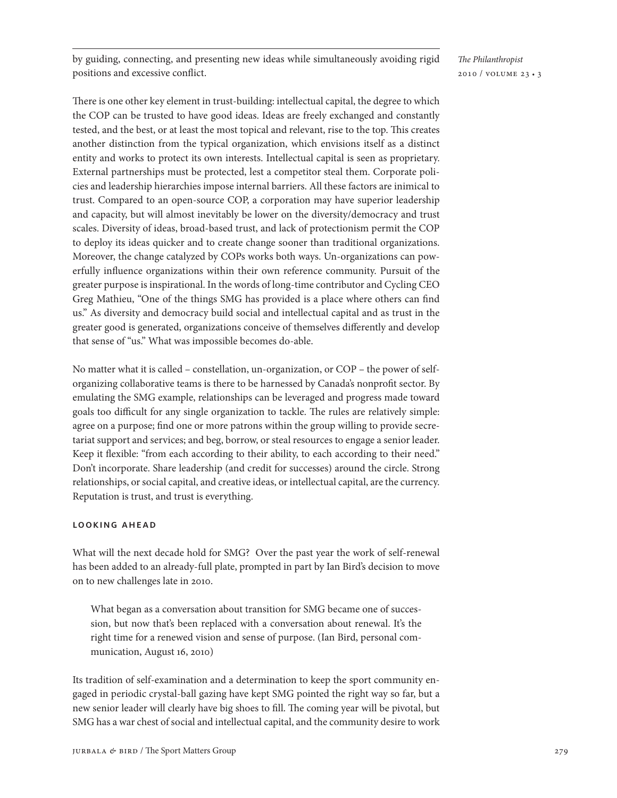by guiding, connecting, and presenting new ideas while simultaneously avoiding rigid positions and excessive conflict.

*The Philanthropist* 2010 / volume 23 • 3

There is one other key element in trust-building: intellectual capital, the degree to which the COP can be trusted to have good ideas. Ideas are freely exchanged and constantly tested, and the best, or at least the most topical and relevant, rise to the top. This creates another distinction from the typical organization, which envisions itself as a distinct entity and works to protect its own interests. Intellectual capital is seen as proprietary. External partnerships must be protected, lest a competitor steal them. Corporate policies and leadership hierarchies impose internal barriers. All these factors are inimical to trust. Compared to an open-source COP, a corporation may have superior leadership and capacity, but will almost inevitably be lower on the diversity/democracy and trust scales. Diversity of ideas, broad-based trust, and lack of protectionism permit the COP to deploy its ideas quicker and to create change sooner than traditional organizations. Moreover, the change catalyzed by COPs works both ways. Un-organizations can powerfully influence organizations within their own reference community. Pursuit of the greater purpose is inspirational. In the words of long-time contributor and Cycling CEO Greg Mathieu, "One of the things SMG has provided is a place where others can find us." As diversity and democracy build social and intellectual capital and as trust in the greater good is generated, organizations conceive of themselves differently and develop that sense of "us." What was impossible becomes do-able.

No matter what it is called – constellation, un-organization, or COP – the power of selforganizing collaborative teams is there to be harnessed by Canada's nonprofit sector. By emulating the SMG example, relationships can be leveraged and progress made toward goals too difficult for any single organization to tackle. The rules are relatively simple: agree on a purpose; find one or more patrons within the group willing to provide secretariat support and services; and beg, borrow, or steal resources to engage a senior leader. Keep it flexible: "from each according to their ability, to each according to their need." Don't incorporate. Share leadership (and credit for successes) around the circle. Strong relationships, or social capital, and creative ideas, or intellectual capital, are the currency. Reputation is trust, and trust is everything.

#### looking ahead

What will the next decade hold for SMG? Over the past year the work of self-renewal has been added to an already-full plate, prompted in part by Ian Bird's decision to move on to new challenges late in 2010.

What began as a conversation about transition for SMG became one of succession, but now that's been replaced with a conversation about renewal. It's the right time for a renewed vision and sense of purpose. (Ian Bird, personal communication, August 16, 2010)

Its tradition of self-examination and a determination to keep the sport community engaged in periodic crystal-ball gazing have kept SMG pointed the right way so far, but a new senior leader will clearly have big shoes to fill. The coming year will be pivotal, but SMG has a war chest of social and intellectual capital, and the community desire to work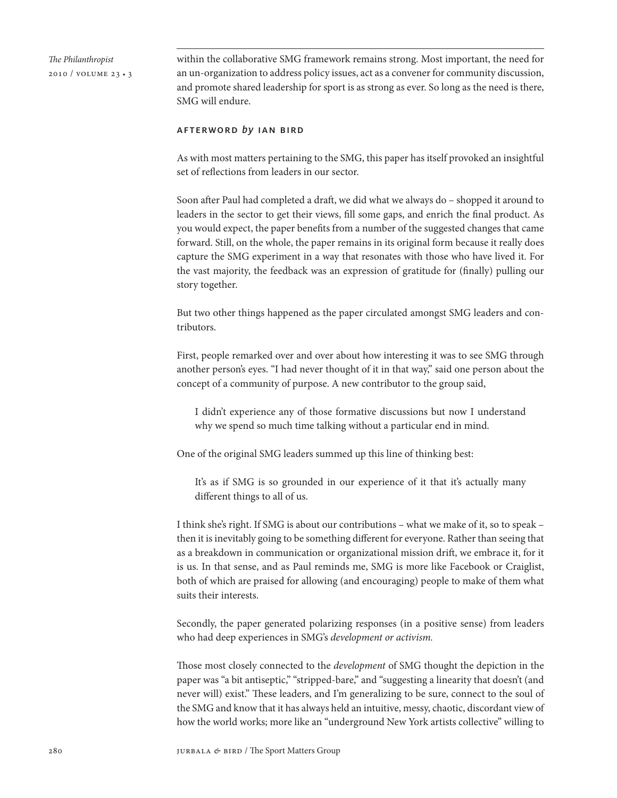within the collaborative SMG framework remains strong. Most important, the need for an un-organization to address policy issues, act as a convener for community discussion, and promote shared leadership for sport is as strong as ever. So long as the need is there, SMG will endure.

#### afterword by ian bird

As with most matters pertaining to the SMG, this paper has itself provoked an insightful set of reflections from leaders in our sector.

Soon after Paul had completed a draft, we did what we always do – shopped it around to leaders in the sector to get their views, fill some gaps, and enrich the final product. As you would expect, the paper benefits from a number of the suggested changes that came forward. Still, on the whole, the paper remains in its original form because it really does capture the SMG experiment in a way that resonates with those who have lived it. For the vast majority, the feedback was an expression of gratitude for (finally) pulling our story together.

But two other things happened as the paper circulated amongst SMG leaders and contributors.

First, people remarked over and over about how interesting it was to see SMG through another person's eyes. "I had never thought of it in that way," said one person about the concept of a community of purpose. A new contributor to the group said,

I didn't experience any of those formative discussions but now I understand why we spend so much time talking without a particular end in mind.

One of the original SMG leaders summed up this line of thinking best:

It's as if SMG is so grounded in our experience of it that it's actually many different things to all of us.

I think she's right. If SMG is about our contributions – what we make of it, so to speak – then it is inevitably going to be something different for everyone. Rather than seeing that as a breakdown in communication or organizational mission drift, we embrace it, for it is us. In that sense, and as Paul reminds me, SMG is more like Facebook or Craiglist, both of which are praised for allowing (and encouraging) people to make of them what suits their interests.

Secondly, the paper generated polarizing responses (in a positive sense) from leaders who had deep experiences in SMG's *development or activism.*

Those most closely connected to the *development* of SMG thought the depiction in the paper was "a bit antiseptic," "stripped-bare," and "suggesting a linearity that doesn't (and never will) exist." These leaders, and I'm generalizing to be sure, connect to the soul of the SMG and know that it has always held an intuitive, messy, chaotic, discordant view of how the world works; more like an "underground New York artists collective" willing to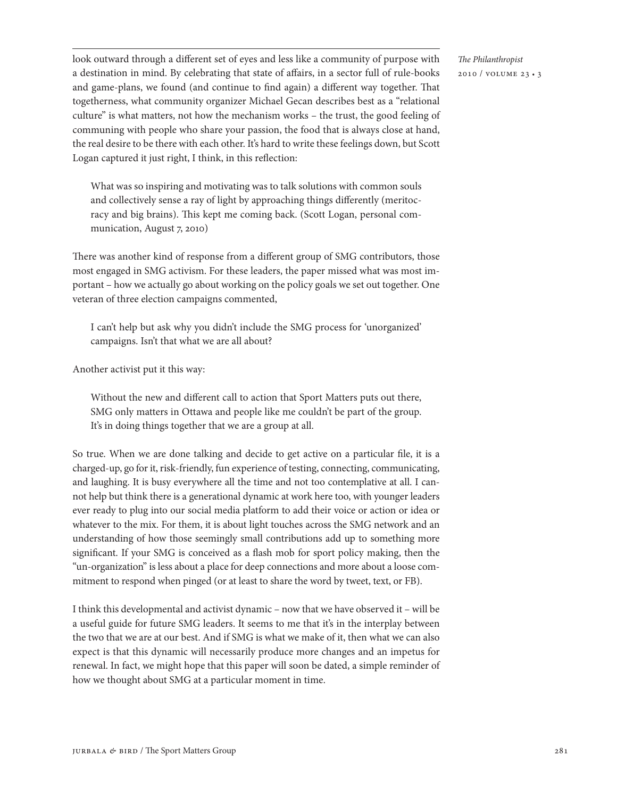look outward through a different set of eyes and less like a community of purpose with a destination in mind. By celebrating that state of affairs, in a sector full of rule-books and game-plans, we found (and continue to find again) a different way together. That togetherness, what community organizer Michael Gecan describes best as a "relational culture" is what matters, not how the mechanism works – the trust, the good feeling of communing with people who share your passion, the food that is always close at hand, the real desire to be there with each other. It's hard to write these feelings down, but Scott Logan captured it just right, I think, in this reflection:

What was so inspiring and motivating was to talk solutions with common souls and collectively sense a ray of light by approaching things differently (meritocracy and big brains). This kept me coming back. (Scott Logan, personal communication, August 7, 2010)

There was another kind of response from a different group of SMG contributors, those most engaged in SMG activism. For these leaders, the paper missed what was most important – how we actually go about working on the policy goals we set out together. One veteran of three election campaigns commented,

I can't help but ask why you didn't include the SMG process for 'unorganized' campaigns. Isn't that what we are all about?

Another activist put it this way:

Without the new and different call to action that Sport Matters puts out there, SMG only matters in Ottawa and people like me couldn't be part of the group. It's in doing things together that we are a group at all.

So true. When we are done talking and decide to get active on a particular file, it is a charged-up, go for it, risk-friendly, fun experience of testing, connecting, communicating, and laughing. It is busy everywhere all the time and not too contemplative at all. I cannot help but think there is a generational dynamic at work here too, with younger leaders ever ready to plug into our social media platform to add their voice or action or idea or whatever to the mix. For them, it is about light touches across the SMG network and an understanding of how those seemingly small contributions add up to something more significant. If your SMG is conceived as a flash mob for sport policy making, then the "un-organization" is less about a place for deep connections and more about a loose commitment to respond when pinged (or at least to share the word by tweet, text, or FB).

I think this developmental and activist dynamic – now that we have observed it – will be a useful guide for future SMG leaders. It seems to me that it's in the interplay between the two that we are at our best. And if SMG is what we make of it, then what we can also expect is that this dynamic will necessarily produce more changes and an impetus for renewal. In fact, we might hope that this paper will soon be dated, a simple reminder of how we thought about SMG at a particular moment in time.

*The Philanthropist* 2010 / volume 23 • 3